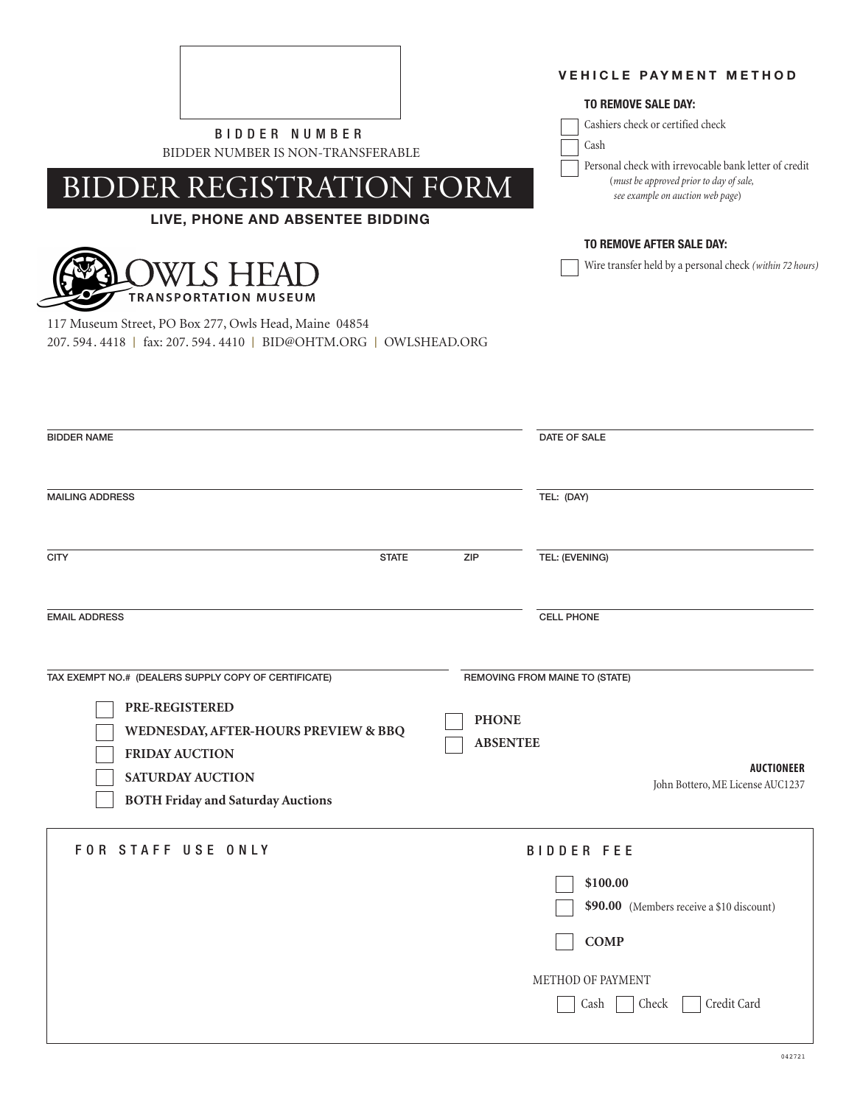

BIDDER NUMBER IS NON-TRANSFERABLE

# BIDDER REGISTRATION FORM

## **LIVE, PHONE AND ABSENTEE BIDDING**



117 Museum Street, PO Box 277, Owls Head, Maine 04854 207. 594. 4418 | fax: 207. 594. 4410 | BID@OHTM.ORG | OWLSHEAD.ORG **VEHICLE PAYMENT METHOD**

### **TO REMOVE SALE DAY:**

Cashiers check or certified check

Cash

Personal check with irrevocable bank letter of credit (*must be approved prior to day of sale, see example on auction web page*)

### **TO REMOVE AFTER SALE DAY:**

Wire transfer held by a personal check *(within 72 hours)*

| <b>BIDDER NAME</b>                                                                                                                                                                                             |                 | DATE OF SALE                                                                                                                                   |
|----------------------------------------------------------------------------------------------------------------------------------------------------------------------------------------------------------------|-----------------|------------------------------------------------------------------------------------------------------------------------------------------------|
| <b>MAILING ADDRESS</b>                                                                                                                                                                                         |                 | TEL: (DAY)                                                                                                                                     |
| <b>CITY</b><br><b>STATE</b>                                                                                                                                                                                    | ZIP             | TEL: (EVENING)                                                                                                                                 |
| <b>EMAIL ADDRESS</b>                                                                                                                                                                                           |                 | <b>CELL PHONE</b>                                                                                                                              |
| TAX EXEMPT NO.# (DEALERS SUPPLY COPY OF CERTIFICATE)<br>PRE-REGISTERED<br>WEDNESDAY, AFTER-HOURS PREVIEW & BBQ<br><b>FRIDAY AUCTION</b><br><b>SATURDAY AUCTION</b><br><b>BOTH Friday and Saturday Auctions</b> | <b>PHONE</b>    | REMOVING FROM MAINE TO (STATE)                                                                                                                 |
|                                                                                                                                                                                                                | <b>ABSENTEE</b> | <b>AUCTIONEER</b><br>John Bottero, ME License AUC1237                                                                                          |
| FOR STAFF USE ONLY                                                                                                                                                                                             |                 | <b>BIDDER FEE</b><br>\$100.00<br>\$90.00 (Members receive a \$10 discount)<br><b>COMP</b><br>METHOD OF PAYMENT<br>Credit Card<br>Check<br>Cash |